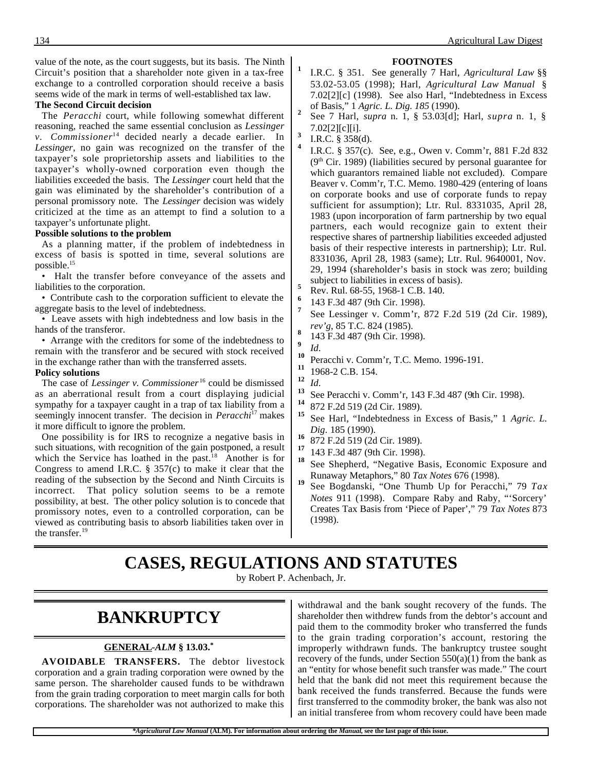value of the note, as the court suggests, but its basis. The Ninth Circuit's position that a shareholder note given in a tax-free exchange to a controlled corporation should receive a basis seems wide of the mark in terms of well-established tax law.

#### **The Second Circuit decision**

The *Peracchi* court, while following somewhat different reasoning, reached the same essential conclusion as *Lessinger v.* Commissioner<sup>14</sup> decided nearly a decade earlier. In *Lessinger*, no gain was recognized on the transfer of the taxpayer's sole proprietorship assets and liabilities to the taxpayer's wholly-owned corporation even though the liabilities exceeded the basis. The *Lessinger* court held that the gain was eliminated by the shareholder's contribution of a personal promissory note. The *Lessinger* decision was widely criticized at the time as an attempt to find a solution to a taxpayer's unfortunate plight.

#### **Possible solutions to the problem**

As a planning matter, if the problem of indebtedness in excess of basis is spotted in time, several solutions are possible.15

• Halt the transfer before conveyance of the assets and liabilities to the corporation.

• Contribute cash to the corporation sufficient to elevate the aggregate basis to the level of indebtedness.

• Leave assets with high indebtedness and low basis in the hands of the transferor.

• Arrange with the creditors for some of the indebtedness to remain with the transferor and be secured with stock received in the exchange rather than with the transferred assets.

#### **Policy solutions**

The case of *Lessinger v. Commissioner*<sup>16</sup> could be dismissed as an aberrational result from a court displaying judicial sympathy for a taxpayer caught in a trap of tax liability from a seemingly innocent transfer. The decision in *Peracchi*<sup>17</sup> makes it more difficult to ignore the problem.

One possibility is for IRS to recognize a negative basis in such situations, with recognition of the gain postponed, a result which the Service has loathed in the past.<sup>18</sup> Another is for Congress to amend I.R.C. § 357(c) to make it clear that the reading of the subsection by the Second and Ninth Circuits is incorrect. That policy solution seems to be a remote possibility, at best. The other policy solution is to concede that promissory notes, even to a controlled corporation, can be viewed as contributing basis to absorb liabilities taken over in the transfer.<sup>19</sup>

- **FOOTNOTES**
- **<sup>1</sup>** I.R.C. § 351. See generally 7 Harl, *Agricultural Law* §§ 53.02-53.05 (1998); Harl, *Agricultural Law Manual* § 7.02[2][c] (1998). See also Harl, "Indebtedness in Excess of Basis," 1 *Agric. L. Dig. 185* (1990). **<sup>2</sup>** See 7 Harl, *supra* n. 1, § 53.03[d]; Harl, *supra* n. 1, §
- 7.02[2][c][i]. **<sup>3</sup>** I.R.C. § 358(d).
- 

**<sup>4</sup>** I.R.C. § 357(c). See, e.g., Owen v. Comm'r, 881 F.2d 832  $(9<sup>th</sup> Cir. 1989)$  (liabilities secured by personal guarantee for which guarantors remained liable not excluded). Compare Beaver v. Comm'r, T.C. Memo. 1980-429 (entering of loans on corporate books and use of corporate funds to repay sufficient for assumption); Ltr. Rul. 8331035, April 28, 1983 (upon incorporation of farm partnership by two equal partners, each would recognize gain to extent their respective shares of partnership liabilities exceeded adjusted basis of their respective interests in partnership); Ltr. Rul. 8331036, April 28, 1983 (same); Ltr. Rul. 9640001, Nov. 29, 1994 (shareholder's basis in stock was zero; building

- subject to liabilities in excess of basis).<br>**5** Rev. Rul. 68-55, 1968-1 C.B. 140.<br>**6** 142 E.34.487 (0t. Cir. 1909).
	- **<sup>6</sup>** 143 F.3d 487 (9th Cir. 1998).
- **<sup>7</sup>** See Lessinger v. Comm'r, 872 F.2d 519 (2d Cir. 1989),
- *rev'g*, 85 T.C. 824 (1985). **<sup>8</sup>** 143 F.3d 487 (9th Cir. 1998).
- 
- **10**<br>**10** Peracchi v. Comm'r, T.C. Memo. 1996-191.<br>**11** 1069 2.G.B. 154.
- $\frac{11}{12}$  1968-2 C.B. 154.
- 
- **12** *Id.* **13** See Peracchi v. Comm'r, 143 F.3d 487 (9th Cir. 1998). **14**  $\frac{972 \text{ E}}{2d}$  510 (2d Cir. 1990).
- <sup>14</sup> 872 F.2d 519 (2d Cir. 1989).
- **<sup>15</sup>** See Harl, "Indebtedness in Excess of Basis," 1 *Agric. L.*
- *Dig.* 185 (1990).<br>
<sup>16</sup> 872 F.2d 519 (2d Cir. 1989).<br>
<sup>17</sup> 112 F.3d 197 (2d Cir. 1999).
- <sup>17</sup> 143 F.3d 487 (9th Cir. 1998).
- See Shepherd, "Negative Basis, Economic Exposure and
- Runaway Metaphors," 80 *Tax Notes* 676 (1998). **<sup>19</sup>** See Bogdanski, "One Thumb Up for Peracchi," 79 *Tax Notes* 911 (1998). Compare Raby and Raby, "'Sorcery' Creates Tax Basis from 'Piece of Paper'," 79 *Tax Notes* 873 (1998).

## **CASES, REGULATIONS AND STATUTES**

by Robert P. Achenbach, Jr.

## **BANKRUPTCY**

### **GENERAL -***ALM* **§ 13.03.\***

**AVOIDABLE TRANSFERS.** The debtor livestock corporation and a grain trading corporation were owned by the same person. The shareholder caused funds to be withdrawn from the grain trading corporation to meet margin calls for both corporations. The shareholder was not authorized to make this

withdrawal and the bank sought recovery of the funds. The shareholder then withdrew funds from the debtor's account and paid them to the commodity broker who transferred the funds to the grain trading corporation's account, restoring the improperly withdrawn funds. The bankruptcy trustee sought recovery of the funds, under Section  $550(a)(1)$  from the bank as an "entity for whose benefit such transfer was made." The court held that the bank did not meet this requirement because the bank received the funds transferred. Because the funds were first transferred to the commodity broker, the bank was also not an initial transferee from whom recovery could have been made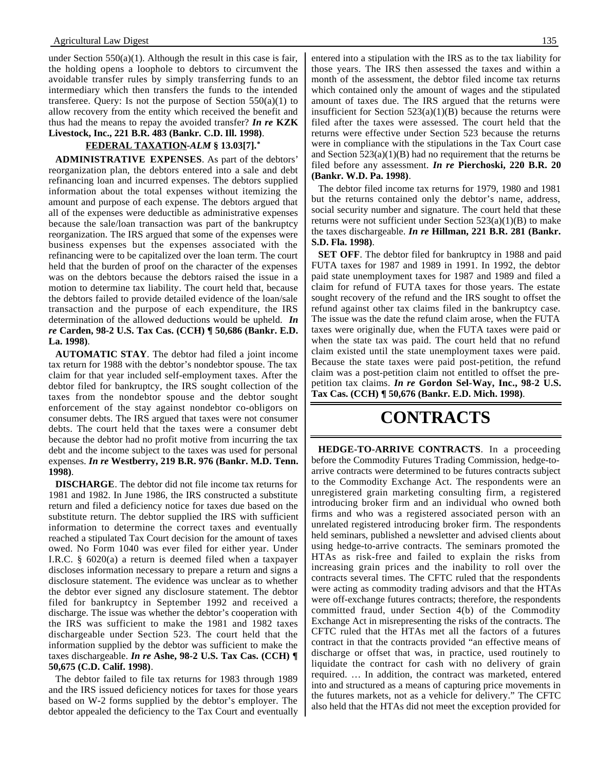under Section  $550(a)(1)$ . Although the result in this case is fair, the holding opens a loophole to debtors to circumvent the avoidable transfer rules by simply transferring funds to an intermediary which then transfers the funds to the intended transferee. Query: Is not the purpose of Section  $550(a)(1)$  to allow recovery from the entity which received the benefit and thus had the means to repay the avoided transfer? *In re* **KZK Livestock, Inc., 221 B.R. 483 (Bankr. C.D. Ill. 1998)**.

### **FEDERAL TAXATION -***ALM* **§ 13.03[7].\***

**ADMINISTRATIVE EXPENSES**. As part of the debtors' reorganization plan, the debtors entered into a sale and debt refinancing loan and incurred expenses. The debtors supplied information about the total expenses without itemizing the amount and purpose of each expense. The debtors argued that all of the expenses were deductible as administrative expenses because the sale/loan transaction was part of the bankruptcy reorganization. The IRS argued that some of the expenses were business expenses but the expenses associated with the refinancing were to be capitalized over the loan term. The court held that the burden of proof on the character of the expenses was on the debtors because the debtors raised the issue in a motion to determine tax liability. The court held that, because the debtors failed to provide detailed evidence of the loan/sale transaction and the purpose of each expenditure, the IRS determination of the allowed deductions would be upheld. *In re* **Carden, 98-2 U.S. Tax Cas. (CCH) ¶ 50,686 (Bankr. E.D. La. 1998)**.

**AUTOMATIC STAY**. The debtor had filed a joint income tax return for 1988 with the debtor's nondebtor spouse. The tax claim for that year included self-employment taxes. After the debtor filed for bankruptcy, the IRS sought collection of the taxes from the nondebtor spouse and the debtor sought enforcement of the stay against nondebtor co-obligors on consumer debts. The IRS argued that taxes were not consumer debts. The court held that the taxes were a consumer debt because the debtor had no profit motive from incurring the tax debt and the income subject to the taxes was used for personal expenses. *In re* **Westberry, 219 B.R. 976 (Bankr. M.D. Tenn. 1998)**.

**DISCHARGE**. The debtor did not file income tax returns for 1981 and 1982. In June 1986, the IRS constructed a substitute return and filed a deficiency notice for taxes due based on the substitute return. The debtor supplied the IRS with sufficient information to determine the correct taxes and eventually reached a stipulated Tax Court decision for the amount of taxes owed. No Form 1040 was ever filed for either year. Under I.R.C. § 6020(a) a return is deemed filed when a taxpayer discloses information necessary to prepare a return and signs a disclosure statement. The evidence was unclear as to whether the debtor ever signed any disclosure statement. The debtor filed for bankruptcy in September 1992 and received a discharge. The issue was whether the debtor's cooperation with the IRS was sufficient to make the 1981 and 1982 taxes dischargeable under Section 523. The court held that the information supplied by the debtor was sufficient to make the taxes dischargeable. *In re* **Ashe, 98-2 U.S. Tax Cas. (CCH) ¶ 50,675 (C.D. Calif. 1998)**.

The debtor failed to file tax returns for 1983 through 1989 and the IRS issued deficiency notices for taxes for those years based on W-2 forms supplied by the debtor's employer. The debtor appealed the deficiency to the Tax Court and eventually

entered into a stipulation with the IRS as to the tax liability for those years. The IRS then assessed the taxes and within a month of the assessment, the debtor filed income tax returns which contained only the amount of wages and the stipulated amount of taxes due. The IRS argued that the returns were insufficient for Section  $523(a)(1)(B)$  because the returns were filed after the taxes were assessed. The court held that the returns were effective under Section 523 because the returns were in compliance with the stipulations in the Tax Court case and Section  $523(a)(1)(B)$  had no requirement that the returns be filed before any assessment. *In re* **Pierchoski, 220 B.R. 20 (Bankr. W.D. Pa. 1998)**.

The debtor filed income tax returns for 1979, 1980 and 1981 but the returns contained only the debtor's name, address, social security number and signature. The court held that these returns were not sufficient under Section  $523(a)(1)(B)$  to make the taxes dischargeable. *In re* **Hillman, 221 B.R. 281 (Bankr. S.D. Fla. 1998)**.

**SET OFF**. The debtor filed for bankruptcy in 1988 and paid FUTA taxes for 1987 and 1989 in 1991. In 1992, the debtor paid state unemployment taxes for 1987 and 1989 and filed a claim for refund of FUTA taxes for those years. The estate sought recovery of the refund and the IRS sought to offset the refund against other tax claims filed in the bankruptcy case. The issue was the date the refund claim arose, when the FUTA taxes were originally due, when the FUTA taxes were paid or when the state tax was paid. The court held that no refund claim existed until the state unemployment taxes were paid. Because the state taxes were paid post-petition, the refund claim was a post-petition claim not entitled to offset the prepetition tax claims. *In re* **Gordon Sel-Way, Inc., 98-2 U.S. Tax Cas. (CCH) ¶ 50,676 (Bankr. E.D. Mich. 1998)**.

### **CONTRACTS**

**HEDGE-TO-ARRIVE CONTRACTS**. In a proceeding before the Commodity Futures Trading Commission, hedge-toarrive contracts were determined to be futures contracts subject to the Commodity Exchange Act. The respondents were an unregistered grain marketing consulting firm, a registered introducing broker firm and an individual who owned both firms and who was a registered associated person with an unrelated registered introducing broker firm. The respondents held seminars, published a newsletter and advised clients about using hedge-to-arrive contracts. The seminars promoted the HTAs as risk-free and failed to explain the risks from increasing grain prices and the inability to roll over the contracts several times. The CFTC ruled that the respondents were acting as commodity trading advisors and that the HTAs were off-exchange futures contracts; therefore, the respondents committed fraud, under Section 4(b) of the Commodity Exchange Act in misrepresenting the risks of the contracts. The CFTC ruled that the HTAs met all the factors of a futures contract in that the contracts provided "an effective means of discharge or offset that was, in practice, used routinely to liquidate the contract for cash with no delivery of grain required. … In addition, the contract was marketed, entered into and structured as a means of capturing price movements in the futures markets, not as a vehicle for delivery." The CFTC also held that the HTAs did not meet the exception provided for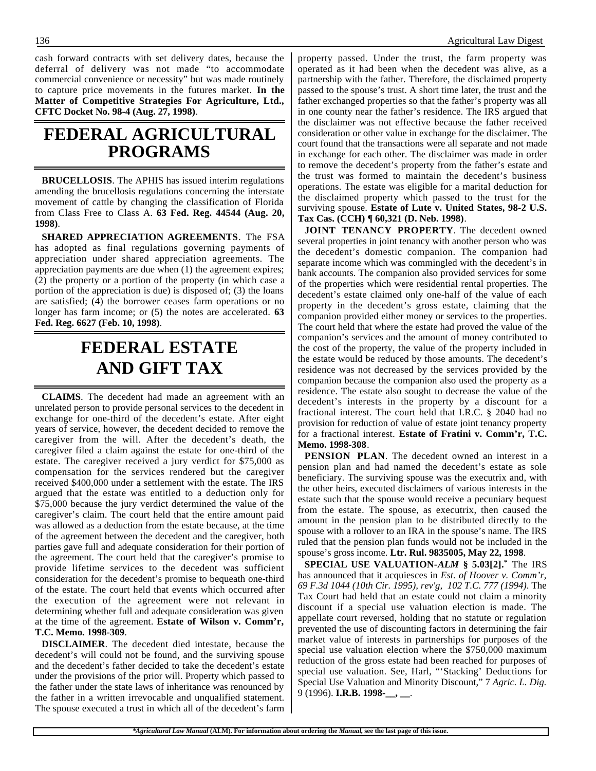cash forward contracts with set delivery dates, because the deferral of delivery was not made "to accommodate commercial convenience or necessity" but was made routinely to capture price movements in the futures market. **In the Matter of Competitive Strategies For Agriculture, Ltd., CFTC Docket No. 98-4 (Aug. 27, 1998)**.

### **FEDERAL AGRICULTURAL PROGRAMS**

**BRUCELLOSIS**. The APHIS has issued interim regulations amending the brucellosis regulations concerning the interstate movement of cattle by changing the classification of Florida from Class Free to Class A. **63 Fed. Reg. 44544 (Aug. 20, 1998)**.

**SHARED APPRECIATION AGREEMENTS**. The FSA has adopted as final regulations governing payments of appreciation under shared appreciation agreements. The appreciation payments are due when (1) the agreement expires; (2) the property or a portion of the property (in which case a portion of the appreciation is due) is disposed of; (3) the loans are satisfied; (4) the borrower ceases farm operations or no longer has farm income; or (5) the notes are accelerated. **63 Fed. Reg. 6627 (Feb. 10, 1998)**.

## **FEDERAL ESTATE AND GIFT TAX**

**CLAIMS**. The decedent had made an agreement with an unrelated person to provide personal services to the decedent in exchange for one-third of the decedent's estate. After eight years of service, however, the decedent decided to remove the caregiver from the will. After the decedent's death, the caregiver filed a claim against the estate for one-third of the estate. The caregiver received a jury verdict for \$75,000 as compensation for the services rendered but the caregiver received \$400,000 under a settlement with the estate. The IRS argued that the estate was entitled to a deduction only for \$75,000 because the jury verdict determined the value of the caregiver's claim. The court held that the entire amount paid was allowed as a deduction from the estate because, at the time of the agreement between the decedent and the caregiver, both parties gave full and adequate consideration for their portion of the agreement. The court held that the caregiver's promise to provide lifetime services to the decedent was sufficient consideration for the decedent's promise to bequeath one-third of the estate. The court held that events which occurred after the execution of the agreement were not relevant in determining whether full and adequate consideration was given at the time of the agreement. **Estate of Wilson v. Comm'r, T.C. Memo. 1998-309**.

**DISCLAIMER**. The decedent died intestate, because the decedent's will could not be found, and the surviving spouse and the decedent's father decided to take the decedent's estate under the provisions of the prior will. Property which passed to the father under the state laws of inheritance was renounced by the father in a written irrevocable and unqualified statement. The spouse executed a trust in which all of the decedent's farm

property passed. Under the trust, the farm property was operated as it had been when the decedent was alive, as a partnership with the father. Therefore, the disclaimed property passed to the spouse's trust. A short time later, the trust and the father exchanged properties so that the father's property was all in one county near the father's residence. The IRS argued that the disclaimer was not effective because the father received consideration or other value in exchange for the disclaimer. The court found that the transactions were all separate and not made in exchange for each other. The disclaimer was made in order to remove the decedent's property from the father's estate and the trust was formed to maintain the decedent's business operations. The estate was eligible for a marital deduction for the disclaimed property which passed to the trust for the surviving spouse. **Estate of Lute v. United States, 98-2 U.S. Tax Cas. (CCH) ¶ 60,321 (D. Neb. 1998)**.

**JOINT TENANCY PROPERTY**. The decedent owned several properties in joint tenancy with another person who was the decedent's domestic companion. The companion had separate income which was commingled with the decedent's in bank accounts. The companion also provided services for some of the properties which were residential rental properties. The decedent's estate claimed only one-half of the value of each property in the decedent's gross estate, claiming that the companion provided either money or services to the properties. The court held that where the estate had proved the value of the companion's services and the amount of money contributed to the cost of the property, the value of the property included in the estate would be reduced by those amounts. The decedent's residence was not decreased by the services provided by the companion because the companion also used the property as a residence. The estate also sought to decrease the value of the decedent's interests in the property by a discount for a fractional interest. The court held that I.R.C. § 2040 had no provision for reduction of value of estate joint tenancy property for a fractional interest. **Estate of Fratini v. Comm'r, T.C. Memo. 1998-308**.

**PENSION PLAN**. The decedent owned an interest in a pension plan and had named the decedent's estate as sole beneficiary. The surviving spouse was the executrix and, with the other heirs, executed disclaimers of various interests in the estate such that the spouse would receive a pecuniary bequest from the estate. The spouse, as executrix, then caused the amount in the pension plan to be distributed directly to the spouse with a rollover to an IRA in the spouse's name. The IRS ruled that the pension plan funds would not be included in the spouse's gross income. **Ltr. Rul. 9835005, May 22, 1998**.

**SPECIAL USE VALUATION-***ALM* **§ 5.03[2].\*** The IRS has announced that it acquiesces in *Est. of Hoover v. Comm'r, 69 F.3d 1044 (10th Cir. 1995), rev'g, 102 T.C. 777 (1994)*. The Tax Court had held that an estate could not claim a minority discount if a special use valuation election is made. The appellate court reversed, holding that no statute or regulation prevented the use of discounting factors in determining the fair market value of interests in partnerships for purposes of the special use valuation election where the \$750,000 maximum reduction of the gross estate had been reached for purposes of special use valuation. See, Harl, "'Stacking' Deductions for Special Use Valuation and Minority Discount," 7 *Agric. L. Dig.* 9 (1996). **I.R.B. 1998-\_\_, \_\_**.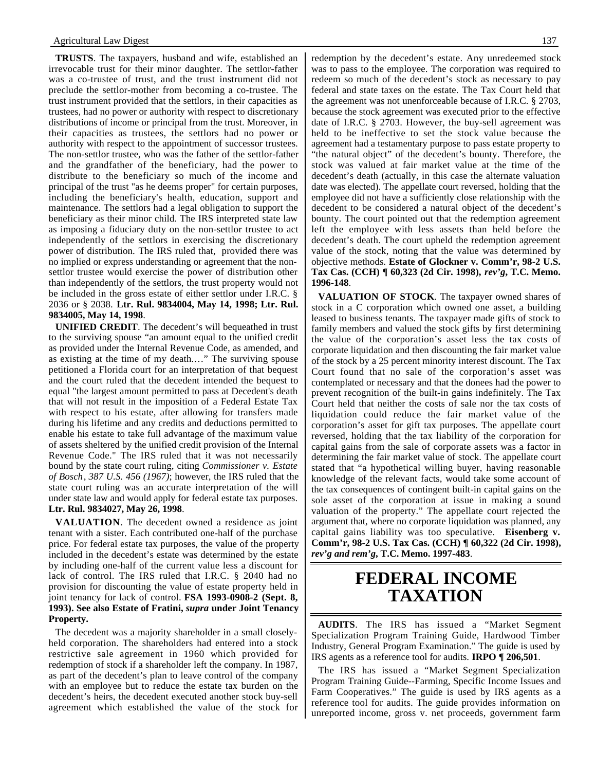**TRUSTS**. The taxpayers, husband and wife, established an irrevocable trust for their minor daughter. The settlor-father was a co-trustee of trust, and the trust instrument did not preclude the settlor-mother from becoming a co-trustee. The trust instrument provided that the settlors, in their capacities as trustees, had no power or authority with respect to discretionary distributions of income or principal from the trust. Moreover, in their capacities as trustees, the settlors had no power or authority with respect to the appointment of successor trustees. The non-settlor trustee, who was the father of the settlor-father and the grandfather of the beneficiary, had the power to distribute to the beneficiary so much of the income and principal of the trust "as he deems proper" for certain purposes, including the beneficiary's health, education, support and maintenance. The settlors had a legal obligation to support the beneficiary as their minor child. The IRS interpreted state law as imposing a fiduciary duty on the non-settlor trustee to act independently of the settlors in exercising the discretionary power of distribution. The IRS ruled that, provided there was no implied or express understanding or agreement that the nonsettlor trustee would exercise the power of distribution other than independently of the settlors, the trust property would not be included in the gross estate of either settlor under I.R.C. § 2036 or § 2038. **Ltr. Rul. 9834004, May 14, 1998; Ltr. Rul. 9834005, May 14, 1998**.

**UNIFIED CREDIT**. The decedent's will bequeathed in trust to the surviving spouse "an amount equal to the unified credit as provided under the Internal Revenue Code, as amended, and as existing at the time of my death.…" The surviving spouse petitioned a Florida court for an interpretation of that bequest and the court ruled that the decedent intended the bequest to equal "the largest amount permitted to pass at Decedent's death that will not result in the imposition of a Federal Estate Tax with respect to his estate, after allowing for transfers made during his lifetime and any credits and deductions permitted to enable his estate to take full advantage of the maximum value of assets sheltered by the unified credit provision of the Internal Revenue Code." The IRS ruled that it was not necessarily bound by the state court ruling, citing *Commissioner v. Estate of Bosch*, *387 U.S. 456 (1967)*; however, the IRS ruled that the state court ruling was an accurate interpretation of the will under state law and would apply for federal estate tax purposes. **Ltr. Rul. 9834027, May 26, 1998**.

**VALUATION**. The decedent owned a residence as joint tenant with a sister. Each contributed one-half of the purchase price. For federal estate tax purposes, the value of the property included in the decedent's estate was determined by the estate by including one-half of the current value less a discount for lack of control. The IRS ruled that I.R.C. § 2040 had no provision for discounting the value of estate property held in joint tenancy for lack of control. **FSA 1993-0908-2 (Sept. 8, 1993). See also Estate of Fratini,** *supra* **under Joint Tenancy Property.**

The decedent was a majority shareholder in a small closelyheld corporation. The shareholders had entered into a stock restrictive sale agreement in 1960 which provided for redemption of stock if a shareholder left the company. In 1987, as part of the decedent's plan to leave control of the company with an employee but to reduce the estate tax burden on the decedent's heirs, the decedent executed another stock buy-sell agreement which established the value of the stock for

redemption by the decedent's estate. Any unredeemed stock was to pass to the employee. The corporation was required to redeem so much of the decedent's stock as necessary to pay federal and state taxes on the estate. The Tax Court held that the agreement was not unenforceable because of I.R.C. § 2703, because the stock agreement was executed prior to the effective date of I.R.C. § 2703. However, the buy-sell agreement was held to be ineffective to set the stock value because the agreement had a testamentary purpose to pass estate property to "the natural object" of the decedent's bounty. Therefore, the stock was valued at fair market value at the time of the decedent's death (actually, in this case the alternate valuation date was elected). The appellate court reversed, holding that the employee did not have a sufficiently close relationship with the decedent to be considered a natural object of the decedent's bounty. The court pointed out that the redemption agreement left the employee with less assets than held before the decedent's death. The court upheld the redemption agreement value of the stock, noting that the value was determined by objective methods. **Estate of Glockner v. Comm'r, 98-2 U.S. Tax Cas. (CCH) ¶ 60,323 (2d Cir. 1998),** *rev'g***, T.C. Memo. 1996-148**.

**VALUATION OF STOCK**. The taxpayer owned shares of stock in a C corporation which owned one asset, a building leased to business tenants. The taxpayer made gifts of stock to family members and valued the stock gifts by first determining the value of the corporation's asset less the tax costs of corporate liquidation and then discounting the fair market value of the stock by a 25 percent minority interest discount. The Tax Court found that no sale of the corporation's asset was contemplated or necessary and that the donees had the power to prevent recognition of the built-in gains indefinitely. The Tax Court held that neither the costs of sale nor the tax costs of liquidation could reduce the fair market value of the corporation's asset for gift tax purposes. The appellate court reversed, holding that the tax liability of the corporation for capital gains from the sale of corporate assets was a factor in determining the fair market value of stock. The appellate court stated that "a hypothetical willing buyer, having reasonable knowledge of the relevant facts, would take some account of the tax consequences of contingent built-in capital gains on the sole asset of the corporation at issue in making a sound valuation of the property." The appellate court rejected the argument that, where no corporate liquidation was planned, any capital gains liability was too speculative. **Eisenberg v. Comm'r, 98-2 U.S. Tax Cas. (CCH) ¶ 60,322 (2d Cir. 1998),** *rev'g and rem'g***, T.C. Memo. 1997-483**.

### **FEDERAL INCOME TAXATION**

**AUDITS**. The IRS has issued a "Market Segment Specialization Program Training Guide, Hardwood Timber Industry, General Program Examination." The guide is used by IRS agents as a reference tool for audits. **IRPO ¶ 206,501**.

The IRS has issued a "Market Segment Specialization Program Training Guide--Farming, Specific Income Issues and Farm Cooperatives." The guide is used by IRS agents as a reference tool for audits. The guide provides information on unreported income, gross v. net proceeds, government farm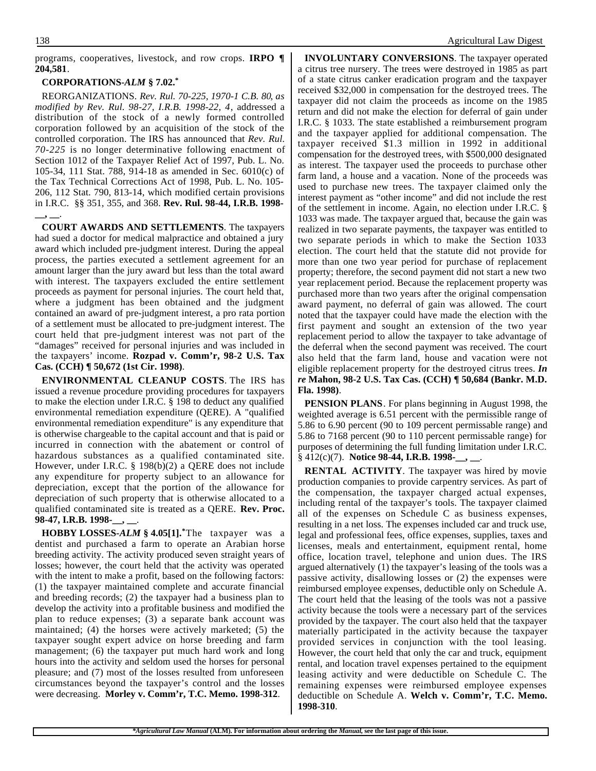programs, cooperatives, livestock, and row crops. **IRPO ¶ 204,581**.

#### **CORPORATIONS-***ALM* **§ 7.02.\***

REORGANIZATIONS. *Rev. Rul. 70-225, 1970-1 C.B. 80*, *as modified by Rev. Rul. 98-27, I.R.B. 1998-22, 4*, addressed a distribution of the stock of a newly formed controlled corporation followed by an acquisition of the stock of the controlled corporation. The IRS has announced that *Rev. Rul. 70-225* is no longer determinative following enactment of Section 1012 of the Taxpayer Relief Act of 1997, Pub. L. No. 105-34, 111 Stat. 788, 914-18 as amended in Sec. 6010(c) of the Tax Technical Corrections Act of 1998, Pub. L. No. 105- 206, 112 Stat. 790, 813-14, which modified certain provisions in I.R.C. §§ 351, 355, and 368. **Rev. Rul. 98-44, I.R.B. 1998- \_\_, \_\_**.

**COURT AWARDS AND SETTLEMENTS**. The taxpayers had sued a doctor for medical malpractice and obtained a jury award which included pre-judgment interest. During the appeal process, the parties executed a settlement agreement for an amount larger than the jury award but less than the total award with interest. The taxpayers excluded the entire settlement proceeds as payment for personal injuries. The court held that, where a judgment has been obtained and the judgment contained an award of pre-judgment interest, a pro rata portion of a settlement must be allocated to pre-judgment interest. The court held that pre-judgment interest was not part of the "damages" received for personal injuries and was included in the taxpayers' income. **Rozpad v. Comm'r, 98-2 U.S. Tax Cas. (CCH) ¶ 50,672 (1st Cir. 1998)**.

**ENVIRONMENTAL CLEANUP COSTS**. The IRS has issued a revenue procedure providing procedures for taxpayers to make the election under I.R.C. § 198 to deduct any qualified environmental remediation expenditure (QERE). A "qualified environmental remediation expenditure" is any expenditure that is otherwise chargeable to the capital account and that is paid or incurred in connection with the abatement or control of hazardous substances as a qualified contaminated site. However, under I.R.C. § 198(b)(2) a QERE does not include any expenditure for property subject to an allowance for depreciation, except that the portion of the allowance for depreciation of such property that is otherwise allocated to a qualified contaminated site is treated as a QERE. **Rev. Proc. 98-47, I.R.B. 1998-\_\_, \_\_**.

**HOBBY LOSSES-***ALM* **§ 4.05[1].\***The taxpayer was a dentist and purchased a farm to operate an Arabian horse breeding activity. The activity produced seven straight years of losses; however, the court held that the activity was operated with the intent to make a profit, based on the following factors: (1) the taxpayer maintained complete and accurate financial and breeding records; (2) the taxpayer had a business plan to develop the activity into a profitable business and modified the plan to reduce expenses; (3) a separate bank account was maintained; (4) the horses were actively marketed; (5) the taxpayer sought expert advice on horse breeding and farm management; (6) the taxpayer put much hard work and long hours into the activity and seldom used the horses for personal pleasure; and (7) most of the losses resulted from unforeseen circumstances beyond the taxpayer's control and the losses were decreasing. **Morley v. Comm'r, T.C. Memo. 1998-312**.

**INVOLUNTARY CONVERSIONS**. The taxpayer operated a citrus tree nursery. The trees were destroyed in 1985 as part of a state citrus canker eradication program and the taxpayer received \$32,000 in compensation for the destroyed trees. The taxpayer did not claim the proceeds as income on the 1985 return and did not make the election for deferral of gain under I.R.C. § 1033. The state established a reimbursement program and the taxpayer applied for additional compensation. The taxpayer received \$1.3 million in 1992 in additional compensation for the destroyed trees, with \$500,000 designated as interest. The taxpayer used the proceeds to purchase other farm land, a house and a vacation. None of the proceeds was used to purchase new trees. The taxpayer claimed only the interest payment as "other income" and did not include the rest of the settlement in income. Again, no election under I.R.C. § 1033 was made. The taxpayer argued that, because the gain was realized in two separate payments, the taxpayer was entitled to two separate periods in which to make the Section 1033 election. The court held that the statute did not provide for more than one two year period for purchase of replacement property; therefore, the second payment did not start a new two year replacement period. Because the replacement property was purchased more than two years after the original compensation award payment, no deferral of gain was allowed. The court noted that the taxpayer could have made the election with the first payment and sought an extension of the two year replacement period to allow the taxpayer to take advantage of the deferral when the second payment was received. The court also held that the farm land, house and vacation were not eligible replacement property for the destroyed citrus trees. *In re* **Mahon, 98-2 U.S. Tax Cas. (CCH) ¶ 50,684 (Bankr. M.D. Fla. 1998)**.

**PENSION PLANS**. For plans beginning in August 1998, the weighted average is 6.51 percent with the permissible range of 5.86 to 6.90 percent (90 to 109 percent permissable range) and 5.86 to 7168 percent (90 to 110 percent permissable range) for purposes of determining the full funding limitation under I.R.C. § 412(c)(7). **Notice 98-44, I.R.B. 1998-\_\_, \_\_**.

**RENTAL ACTIVITY**. The taxpayer was hired by movie production companies to provide carpentry services. As part of the compensation, the taxpayer charged actual expenses, including rental of the taxpayer's tools. The taxpayer claimed all of the expenses on Schedule C as business expenses, resulting in a net loss. The expenses included car and truck use, legal and professional fees, office expenses, supplies, taxes and licenses, meals and entertainment, equipment rental, home office, location travel, telephone and union dues. The IRS argued alternatively (1) the taxpayer's leasing of the tools was a passive activity, disallowing losses or (2) the expenses were reimbursed employee expenses, deductible only on Schedule A. The court held that the leasing of the tools was not a passive activity because the tools were a necessary part of the services provided by the taxpayer. The court also held that the taxpayer materially participated in the activity because the taxpayer provided services in conjunction with the tool leasing. However, the court held that only the car and truck, equipment rental, and location travel expenses pertained to the equipment leasing activity and were deductible on Schedule C. The remaining expenses were reimbursed employee expenses deductible on Schedule A. **Welch v. Comm'r, T.C. Memo. 1998-310**.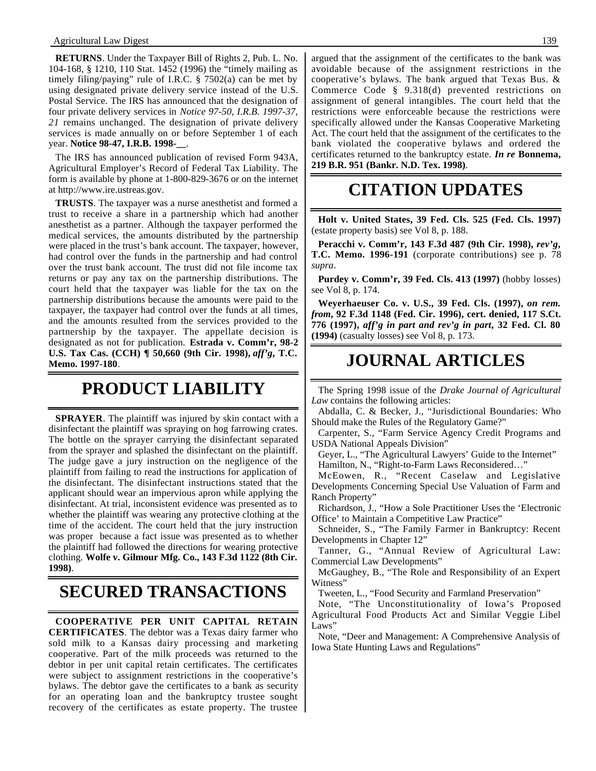**RETURNS**. Under the Taxpayer Bill of Rights 2, Pub. L. No. 104-168, § 1210, 110 Stat. 1452 (1996) the "timely mailing as timely filing/paying" rule of I.R.C.  $\S$  7502(a) can be met by using designated private delivery service instead of the U.S. Postal Service. The IRS has announced that the designation of four private delivery services in *Notice 97-50, I.R.B. 1997-37, 21* remains unchanged. The designation of private delivery services is made annually on or before September 1 of each year. **Notice 98-47, I.R.B. 1998-\_\_**.

The IRS has announced publication of revised Form 943A, Agricultural Employer's Record of Federal Tax Liability. The form is available by phone at 1-800-829-3676 or on the internet at http://www.ire.ustreas.gov.

**TRUSTS**. The taxpayer was a nurse anesthetist and formed a trust to receive a share in a partnership which had another anesthetist as a partner. Although the taxpayer performed the medical services, the amounts distributed by the partnership were placed in the trust's bank account. The taxpayer, however, had control over the funds in the partnership and had control over the trust bank account. The trust did not file income tax returns or pay any tax on the partnership distributions. The court held that the taxpayer was liable for the tax on the partnership distributions because the amounts were paid to the taxpayer, the taxpayer had control over the funds at all times, and the amounts resulted from the services provided to the partnership by the taxpayer. The appellate decision is designated as not for publication. **Estrada v. Comm'r, 98-2 U.S. Tax Cas. (CCH) ¶ 50,660 (9th Cir. 1998),** *aff'g***, T.C. Memo. 1997-180**.

## **PRODUCT LIABILITY**

**SPRAYER**. The plaintiff was injured by skin contact with a disinfectant the plaintiff was spraying on hog farrowing crates. The bottle on the sprayer carrying the disinfectant separated from the sprayer and splashed the disinfectant on the plaintiff. The judge gave a jury instruction on the negligence of the plaintiff from failing to read the instructions for application of the disinfectant. The disinfectant instructions stated that the applicant should wear an impervious apron while applying the disinfectant. At trial, inconsistent evidence was presented as to whether the plaintiff was wearing any protective clothing at the time of the accident. The court held that the jury instruction was proper because a fact issue was presented as to whether the plaintiff had followed the directions for wearing protective clothing. **Wolfe v. Gilmour Mfg. Co., 143 F.3d 1122 (8th Cir. 1998)**.

## **SECURED TRANSACTIONS**

**COOPERATIVE PER UNIT CAPITAL RETAIN CERTIFICATES**. The debtor was a Texas dairy farmer who sold milk to a Kansas dairy processing and marketing cooperative. Part of the milk proceeds was returned to the debtor in per unit capital retain certificates. The certificates were subject to assignment restrictions in the cooperative's bylaws. The debtor gave the certificates to a bank as security for an operating loan and the bankruptcy trustee sought recovery of the certificates as estate property. The trustee

argued that the assignment of the certificates to the bank was avoidable because of the assignment restrictions in the cooperative's bylaws. The bank argued that Texas Bus. & Commerce Code § 9.318(d) prevented restrictions on assignment of general intangibles. The court held that the restrictions were enforceable because the restrictions were specifically allowed under the Kansas Cooperative Marketing Act. The court held that the assignment of the certificates to the bank violated the cooperative bylaws and ordered the certificates returned to the bankruptcy estate. *In re* **Bonnema, 219 B.R. 951 (Bankr. N.D. Tex. 1998)**.

## **CITATION UPDATES**

**Holt v. United States, 39 Fed. Cls. 525 (Fed. Cls. 1997)** (estate property basis) see Vol 8, p. 188.

**Peracchi v. Comm'r, 143 F.3d 487 (9th Cir. 1998),** *rev'g***, T.C. Memo. 1996-191** (corporate contributions) see p. 78 *supra*.

**Purdey v. Comm'r, 39 Fed. Cls. 413 (1997)** (hobby losses) see Vol 8, p. 174.

**Weyerhaeuser Co. v. U.S., 39 Fed. Cls. (1997),** *on rem. from***, 92 F.3d 1148 (Fed. Cir. 1996), cert. denied, 117 S.Ct. 776 (1997),** *aff'g in part and rev'g in part***, 32 Fed. Cl. 80 (1994)** (casualty losses) see Vol 8, p. 173.

## **JOURNAL ARTICLES**

The Spring 1998 issue of the *Drake Journal of Agricultural Law* contains the following articles:

Abdalla, C. & Becker, J., "Jurisdictional Boundaries: Who Should make the Rules of the Regulatory Game?"

Carpenter, S., "Farm Service Agency Credit Programs and USDA National Appeals Division"

Geyer, L., "The Agricultural Lawyers' Guide to the Internet" Hamilton, N., "Right-to-Farm Laws Reconsidered…"

McEowen, R., "Recent Caselaw and Legislative Developments Concerning Special Use Valuation of Farm and Ranch Property"

Richardson, J., "How a Sole Practitioner Uses the 'Electronic Office' to Maintain a Competitive Law Practice"

Schneider, S., "The Family Farmer in Bankruptcy: Recent Developments in Chapter 12"

Tanner, G., "Annual Review of Agricultural Law: Commercial Law Developments"

McGaughey, B., "The Role and Responsibility of an Expert Witness"

Tweeten, L., "Food Security and Farmland Preservation"

Note, "The Unconstitutionality of Iowa's Proposed Agricultural Food Products Act and Similar Veggie Libel Laws"

Note, "Deer and Management: A Comprehensive Analysis of Iowa State Hunting Laws and Regulations"